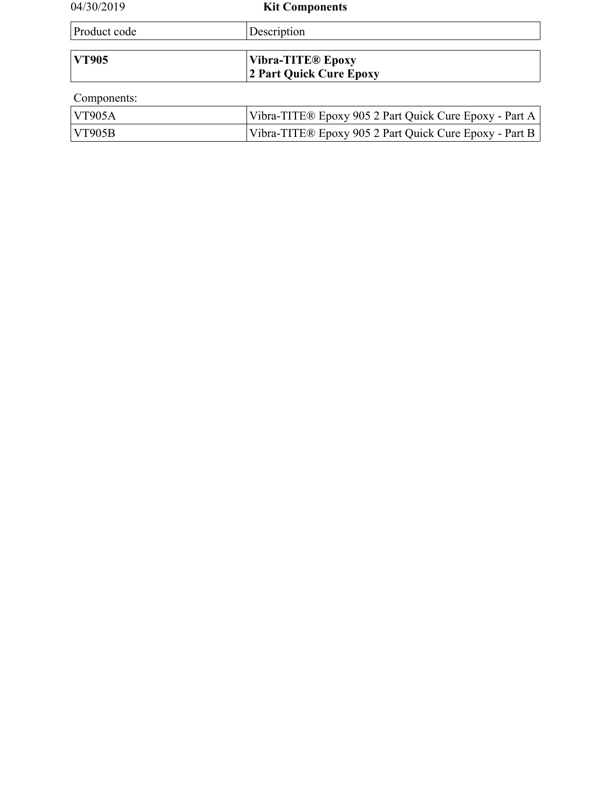| 04/30/2019    | <b>Kit Components</b>                                  |  |
|---------------|--------------------------------------------------------|--|
| Product code  | Description                                            |  |
|               |                                                        |  |
| <b>VT905</b>  | <b>Vibra-TITE® Epoxy</b>                               |  |
|               | <b>2 Part Quick Cure Epoxy</b>                         |  |
| Components:   |                                                        |  |
| <b>VT905A</b> | Vibra-TITE® Epoxy 905 2 Part Quick Cure Epoxy - Part A |  |
| <b>VT905B</b> | Vibra-TITE® Epoxy 905 2 Part Quick Cure Epoxy - Part B |  |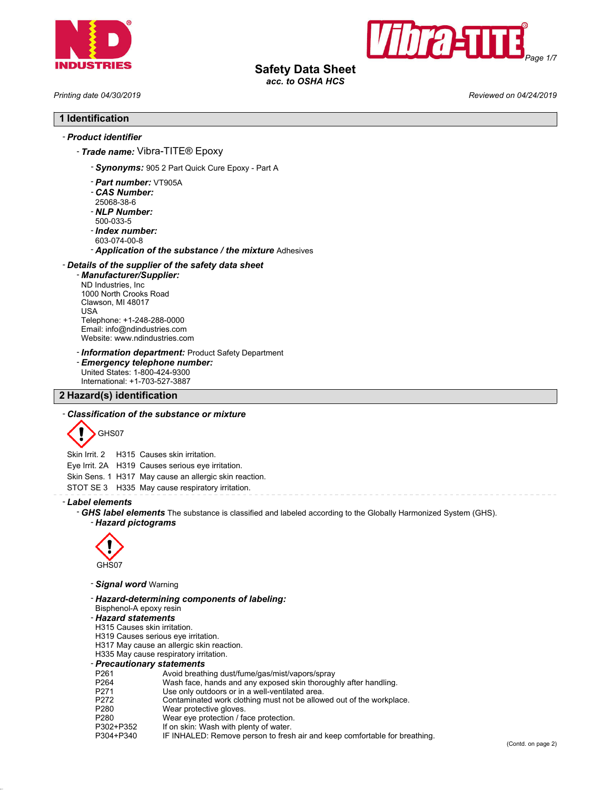



# **Safety Data Sheet**

*acc. to OSHA HCS*

*Printing date 04/30/2019 Reviewed on 04/24/2019*

# **1 Identification**

### - *Product identifier*

- *Trade name:* Vibra-TITE® Epoxy
	- *Synonyms:* 905 2 Part Quick Cure Epoxy Part A
	- *Part number:* VT905A
	- *CAS Number:*
	- 25068-38-6
	- *NLP Number:*
	- 500-033-5
	- *Index number:*
	- 603-074-00-8
	- *Application of the substance / the mixture* Adhesives

### - *Details of the supplier of the safety data sheet*

- *Manufacturer/Supplier:* ND Industries, Inc 1000 North Crooks Road Clawson, MI 48017 USA Telephone: +1-248-288-0000 Email: info@ndindustries.com Website: www.ndindustries.com
- *Information department:* Product Safety Department
- *Emergency telephone number:* United States: 1-800-424-9300
- International: +1-703-527-3887

### **2 Hazard(s) identification**

### - *Classification of the substance or mixture*



Skin Irrit. 2 H315 Causes skin irritation.

Eye Irrit. 2A H319 Causes serious eye irritation.

Skin Sens. 1 H317 May cause an allergic skin reaction.

STOT SE 3 H335 May cause respiratory irritation.

- *Label elements*

- *GHS label elements* The substance is classified and labeled according to the Globally Harmonized System (GHS). - *Hazard pictograms*



- *Signal word* Warning

- *Hazard-determining components of labeling:* Bisphenol-A epoxy resin

### - *Hazard statements*

- H315 Causes skin irritation.
- H319 Causes serious eye irritation.
- H317 May cause an allergic skin reaction.
- H335 May cause respiratory irritation.
- *Precautionary statements*
- P261 Avoid breathing dust/fume/gas/mist/vapors/spray<br>P264 Wash face. hands and any exposed skin thorougl
- P264 Wash face, hands and any exposed skin thoroughly after handling.<br>P271 Use only outdoors or in a well-ventilated area.
- Use only outdoors or in a well-ventilated area.
- P272 Contaminated work clothing must not be allowed out of the workplace.<br>P280 Wear protective gloves.
- Wear protective gloves.
- 
- P280 Wear eye protection / face protection.<br>P302+P352 If on skin: Wash with plenty of water. If on skin: Wash with plenty of water.
- P304+P340 IF INHALED: Remove person to fresh air and keep comfortable for breathing.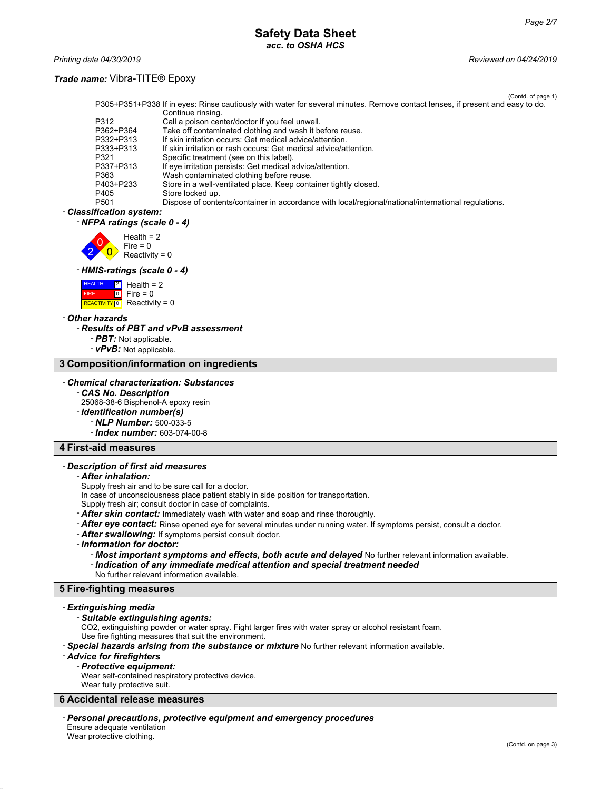*Printing date 04/30/2019 Reviewed on 04/24/2019*

### *Trade name:* Vibra-TITE® Epoxy

(Contd. of page 1) P305+P351+P338 If in eyes: Rinse cautiously with water for several minutes. Remove contact lenses, if present and easy to do. Continue rinsing. P312 Call a poison center/doctor if you feel unwell.<br>P362+P364 Take off contaminated clothing and wash it be P362+P364 Take off contaminated clothing and wash it before reuse.<br>P332+P313 If skin irritation occurs: Get medical advice/attention. P332+P313 If skin irritation occurs: Get medical advice/attention.<br>P333+P313 If skin irritation or rash occurs: Get medical advice/at P333+P313 If skin irritation or rash occurs: Get medical advice/attention. P321 Specific treatment (see on this label). P337+P313 If eye irritation persists: Get medical advice/attention.<br>P363 Wash contaminated clothing before reuse. P363 Wash contaminated clothing before reuse.<br>P403+P233 Store in a well-ventilated place. Keep cont P403+P233 Store in a well-ventilated place. Keep container tightly closed.<br>P405 Store locked up. P405 Store locked up.<br>P501 Dispose of conte Dispose of contents/container in accordance with local/regional/national/international regulations.

#### - *Classification system:* - *NFPA ratings (scale 0 - 4)*



#### - *HMIS-ratings (scale 0 - 4)*



#### - *Other hazards*

#### - *Results of PBT and vPvB assessment*

- *PBT:* Not applicable.
- *vPvB:* Not applicable.

### **3 Composition/information on ingredients**

#### - *Chemical characterization: Substances*

- *CAS No. Description* 25068-38-6 Bisphenol-A epoxy resin - *Identification number(s)* - *NLP Number:* 500-033-5

- *Index number:* 603-074-00-8

### **4 First-aid measures**

#### - *Description of first aid measures*

### - *After inhalation:*

Supply fresh air and to be sure call for a doctor.

- In case of unconsciousness place patient stably in side position for transportation.
- Supply fresh air; consult doctor in case of complaints.
- *After skin contact:* Immediately wash with water and soap and rinse thoroughly.
- *After eye contact:* Rinse opened eye for several minutes under running water. If symptoms persist, consult a doctor.
- *After swallowing:* If symptoms persist consult doctor.
- *Information for doctor:*
	- *Most important symptoms and effects, both acute and delayed* No further relevant information available.
	- *Indication of any immediate medical attention and special treatment needed*
	- No further relevant information available.

### **5 Fire-fighting measures**

#### - *Extinguishing media*

#### - *Suitable extinguishing agents:*

CO2, extinguishing powder or water spray. Fight larger fires with water spray or alcohol resistant foam. Use fire fighting measures that suit the environment.

- *Special hazards arising from the substance or mixture* No further relevant information available.

#### - *Advice for firefighters*

#### - *Protective equipment:*

Wear self-contained respiratory protective device.

Wear fully protective suit.

### **6 Accidental release measures**

- *Personal precautions, protective equipment and emergency procedures* Ensure adequate ventilation Wear protective clothing.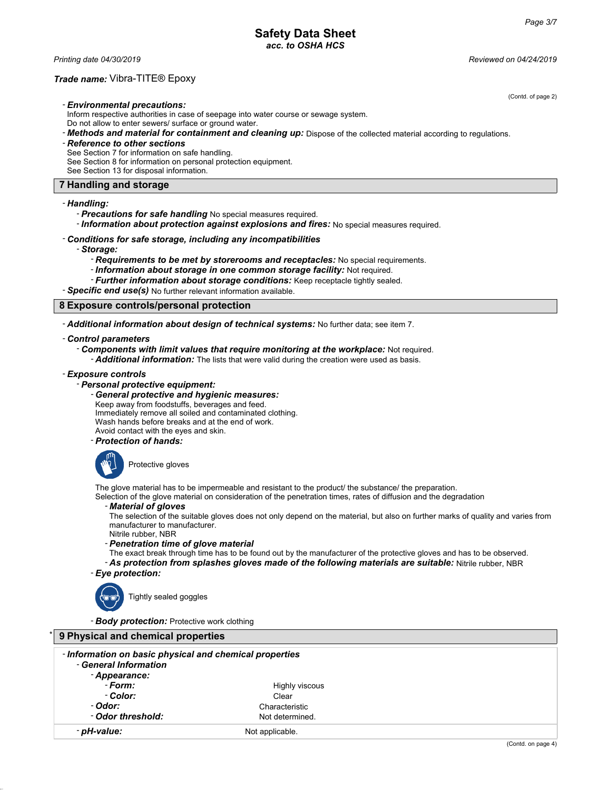*Printing date 04/30/2019 Reviewed on 04/24/2019*

### *Trade name:* Vibra-TITE® Epoxy

(Contd. of page 2)

- *Environmental precautions:*

- Inform respective authorities in case of seepage into water course or sewage system.
- Do not allow to enter sewers/ surface or ground water.
- *Methods and material for containment and cleaning up:* Dispose of the collected material according to regulations.
- *Reference to other sections*
- See Section 7 for information on safe handling.
- See Section 8 for information on personal protection equipment.
- See Section 13 for disposal information.

### **7 Handling and storage**

### - *Handling:*

- *Precautions for safe handling* No special measures required.
- *Information about protection against explosions and fires:* No special measures required.
- *Conditions for safe storage, including any incompatibilities*
	- *Storage:*
		- *Requirements to be met by storerooms and receptacles:* No special requirements.
		- *Information about storage in one common storage facility:* Not required.
		- *Further information about storage conditions:* Keep receptacle tightly sealed.
- *Specific end use(s)* No further relevant information available.

### **8 Exposure controls/personal protection**

- *Additional information about design of technical systems:* No further data; see item 7.

- *Control parameters*
	- *Components with limit values that require monitoring at the workplace:* Not required. - *Additional information:* The lists that were valid during the creation were used as basis.
- *Exposure controls*

### - *Personal protective equipment:*

- *General protective and hygienic measures:*

Keep away from foodstuffs, beverages and feed.

Immediately remove all soiled and contaminated clothing.

Wash hands before breaks and at the end of work.

Avoid contact with the eyes and skin. - *Protection of hands:*



Protective gloves

The glove material has to be impermeable and resistant to the product/ the substance/ the preparation.

Selection of the glove material on consideration of the penetration times, rates of diffusion and the degradation

### - *Material of gloves*

The selection of the suitable gloves does not only depend on the material, but also on further marks of quality and varies from manufacturer to manufacturer. Nitrile rubber, NBR

- *Penetration time of glove material*

The exact break through time has to be found out by the manufacturer of the protective gloves and has to be observed.

- *As protection from splashes gloves made of the following materials are suitable:* Nitrile rubber, NBR - *Eye protection:*



Tightly sealed goggles

- *Body protection:* Protective work clothing

# \* **9 Physical and chemical properties**

| - Information on basic physical and chemical properties |                 |  |
|---------------------------------------------------------|-----------------|--|
| - General Information                                   |                 |  |
| - Appearance:                                           |                 |  |
| - Form:                                                 | Highly viscous  |  |
| - Color:                                                | Clear           |  |
| - Odor:                                                 | Characteristic  |  |
| - Odor threshold:                                       | Not determined. |  |
| - pH-value:                                             | Not applicable. |  |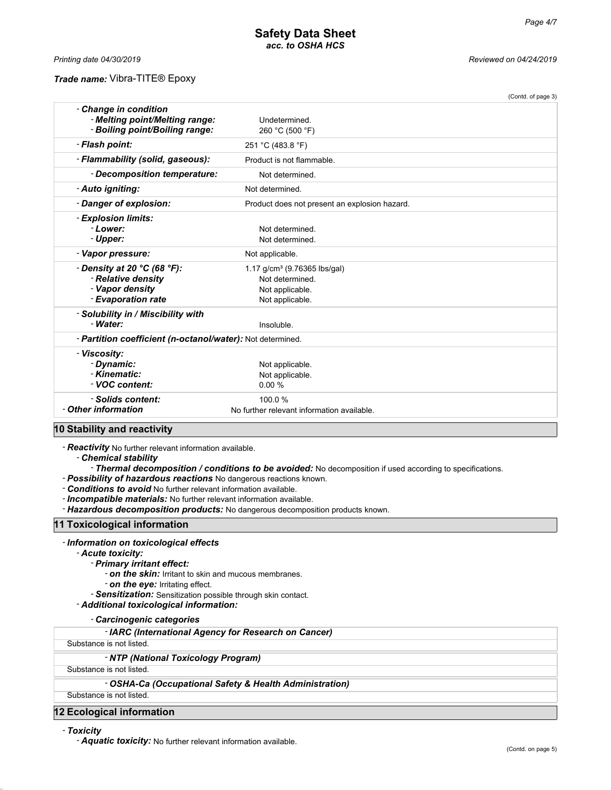#### *Trade name:* Vibra-TITE® Epoxy

*Printing date 04/30/2019 Reviewed on 04/24/2019*

|                                                                                                                                 | (Contd. of page 3)                                                                                |  |
|---------------------------------------------------------------------------------------------------------------------------------|---------------------------------------------------------------------------------------------------|--|
| - Change in condition<br>- Melting point/Melting range:<br>- Boiling point/Boiling range:                                       | Undetermined.<br>260 °C (500 °F)                                                                  |  |
| - Flash point:                                                                                                                  | 251 °C (483.8 °F)                                                                                 |  |
| - Flammability (solid, gaseous):                                                                                                | Product is not flammable.                                                                         |  |
| - Decomposition temperature:                                                                                                    | Not determined.                                                                                   |  |
| - Auto igniting:                                                                                                                | Not determined.                                                                                   |  |
| - Danger of explosion:                                                                                                          | Product does not present an explosion hazard.                                                     |  |
| - Explosion limits:<br>- Lower:<br>- Upper:                                                                                     | Not determined.<br>Not determined.                                                                |  |
| - Vapor pressure:                                                                                                               | Not applicable.                                                                                   |  |
| - Density at 20 °C (68 °F):<br>- Relative density<br>- Vapor density<br>- Evaporation rate                                      | 1.17 g/cm <sup>3</sup> (9.76365 lbs/gal)<br>Not determined.<br>Not applicable.<br>Not applicable. |  |
| - Solubility in / Miscibility with<br>- Water:                                                                                  | Insoluble.                                                                                        |  |
| - Partition coefficient (n-octanol/water): Not determined.                                                                      |                                                                                                   |  |
| - Viscosity:<br>- Dynamic:<br>- Kinematic:<br>- VOC content:                                                                    | Not applicable.<br>Not applicable.<br>0.00%                                                       |  |
| - Solids content:<br>- Other information<br>-----<br>$\overline{1}$ $\overline{1}$ $\overline{1}$ $\overline{1}$ $\overline{1}$ | 100.0%<br>No further relevant information available.                                              |  |

### **10 Stability and reactivity**

- *Reactivity* No further relevant information available.

- *Chemical stability*

- *Thermal decomposition / conditions to be avoided:* No decomposition if used according to specifications.

- *Possibility of hazardous reactions* No dangerous reactions known.

- *Conditions to avoid* No further relevant information available.

- *Incompatible materials:* No further relevant information available.

- *Hazardous decomposition products:* No dangerous decomposition products known.

### **11 Toxicological information**

#### - *Information on toxicological effects*

- *Acute toxicity:*

- *Primary irritant effect:*
	- *on the skin:* Irritant to skin and mucous membranes.

- *on the eye:* Irritating effect.

- *Sensitization:* Sensitization possible through skin contact.
- *Additional toxicological information:*

- *Carcinogenic categories*

#### - *IARC (International Agency for Research on Cancer)*

Substance is not listed.

### - *NTP (National Toxicology Program)*

Substance is not listed.

### - *OSHA-Ca (Occupational Safety & Health Administration)*

Substance is not listed.

### **12 Ecological information**

- *Toxicity*

- *Aquatic toxicity:* No further relevant information available.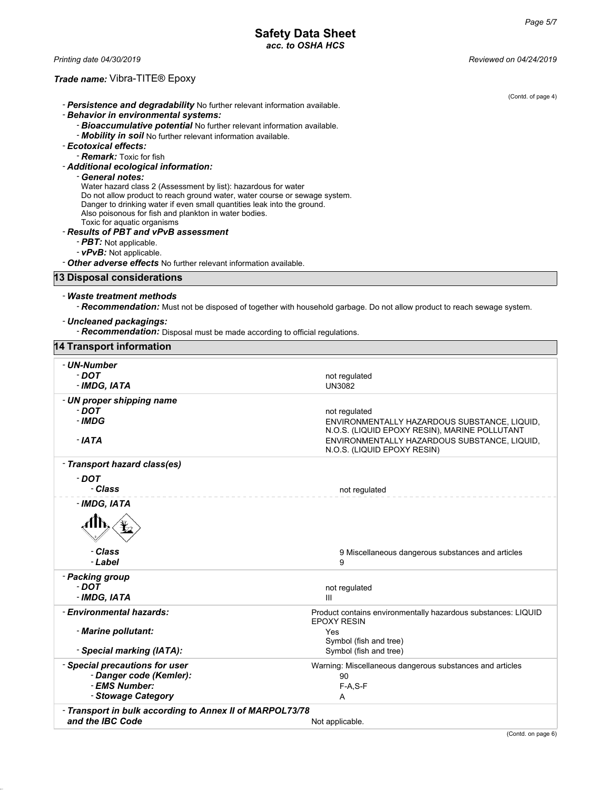*Printing date 04/30/2019 Reviewed on 04/24/2019*

## *Trade name:* Vibra-TITE® Epoxy

| $\mu$ and $\mu$ and $\mu$ and $\mu$ and $\mu$ and $\mu$ and $\mu$                                                                |                                                                                                                         |
|----------------------------------------------------------------------------------------------------------------------------------|-------------------------------------------------------------------------------------------------------------------------|
| - Persistence and degradability No further relevant information available.                                                       | (Contd. of page 4)                                                                                                      |
| - Behavior in environmental systems:                                                                                             |                                                                                                                         |
| - Bioaccumulative potential No further relevant information available.                                                           |                                                                                                                         |
| - Mobility in soil No further relevant information available.                                                                    |                                                                                                                         |
| - Ecotoxical effects:                                                                                                            |                                                                                                                         |
| <b>- <i>Remark:</i></b> Toxic for fish                                                                                           |                                                                                                                         |
| - Additional ecological information:<br>- General notes:                                                                         |                                                                                                                         |
| Water hazard class 2 (Assessment by list): hazardous for water                                                                   |                                                                                                                         |
| Do not allow product to reach ground water, water course or sewage system.                                                       |                                                                                                                         |
| Danger to drinking water if even small quantities leak into the ground.<br>Also poisonous for fish and plankton in water bodies. |                                                                                                                         |
| Toxic for aquatic organisms                                                                                                      |                                                                                                                         |
| - Results of PBT and vPvB assessment                                                                                             |                                                                                                                         |
| - PBT: Not applicable.                                                                                                           |                                                                                                                         |
| - vPvB: Not applicable.                                                                                                          |                                                                                                                         |
| - Other adverse effects No further relevant information available.                                                               |                                                                                                                         |
| 13 Disposal considerations                                                                                                       |                                                                                                                         |
| - Waste treatment methods                                                                                                        |                                                                                                                         |
|                                                                                                                                  | - Recommendation: Must not be disposed of together with household garbage. Do not allow product to reach sewage system. |
| - Uncleaned packagings:                                                                                                          |                                                                                                                         |
| - Recommendation: Disposal must be made according to official regulations.                                                       |                                                                                                                         |
| <b>14 Transport information</b>                                                                                                  |                                                                                                                         |
| - UN-Number                                                                                                                      |                                                                                                                         |
| - DOT                                                                                                                            | not regulated                                                                                                           |
| - IMDG, IATA                                                                                                                     | <b>UN3082</b>                                                                                                           |
| - UN proper shipping name                                                                                                        |                                                                                                                         |
| - DOT                                                                                                                            | not regulated                                                                                                           |
| - IMDG                                                                                                                           | ENVIRONMENTALLY HAZARDOUS SUBSTANCE, LIQUID,                                                                            |
| - IATA                                                                                                                           | N.O.S. (LIQUID EPOXY RESIN), MARINE POLLUTANT<br>ENVIRONMENTALLY HAZARDOUS SUBSTANCE, LIQUID,                           |
|                                                                                                                                  | N.O.S. (LIQUID EPOXY RESIN)                                                                                             |
| - Transport hazard class(es)                                                                                                     |                                                                                                                         |
| - DOT                                                                                                                            |                                                                                                                         |
| - Class                                                                                                                          | not regulated                                                                                                           |
| - IMDG, IATA                                                                                                                     |                                                                                                                         |
|                                                                                                                                  |                                                                                                                         |
| Aħ                                                                                                                               |                                                                                                                         |
|                                                                                                                                  |                                                                                                                         |
| - Class                                                                                                                          | 9 Miscellaneous dangerous substances and articles                                                                       |
| - Label                                                                                                                          | 9                                                                                                                       |
| - Packing group                                                                                                                  |                                                                                                                         |
| $-$ DOT                                                                                                                          | not regulated                                                                                                           |
| - IMDG, IATA                                                                                                                     | Ш                                                                                                                       |
| - Environmental hazards:                                                                                                         | Product contains environmentally hazardous substances: LIQUID                                                           |
|                                                                                                                                  | <b>EPOXY RESIN</b>                                                                                                      |
| - Marine pollutant:                                                                                                              | Yes<br>Symbol (fish and tree)                                                                                           |
| - Special marking (IATA):                                                                                                        | Symbol (fish and tree)                                                                                                  |
| - Special precautions for user                                                                                                   | Warning: Miscellaneous dangerous substances and articles                                                                |
| - Danger code (Kemler):                                                                                                          | 90                                                                                                                      |
| - EMS Number:                                                                                                                    | $F-A, S-F$                                                                                                              |
| - Stowage Category                                                                                                               | A                                                                                                                       |
| - Transport in bulk according to Annex II of MARPOL73/78                                                                         |                                                                                                                         |

**and the IBC Code Not applicable.** Not applicable.

(Contd. on page 6)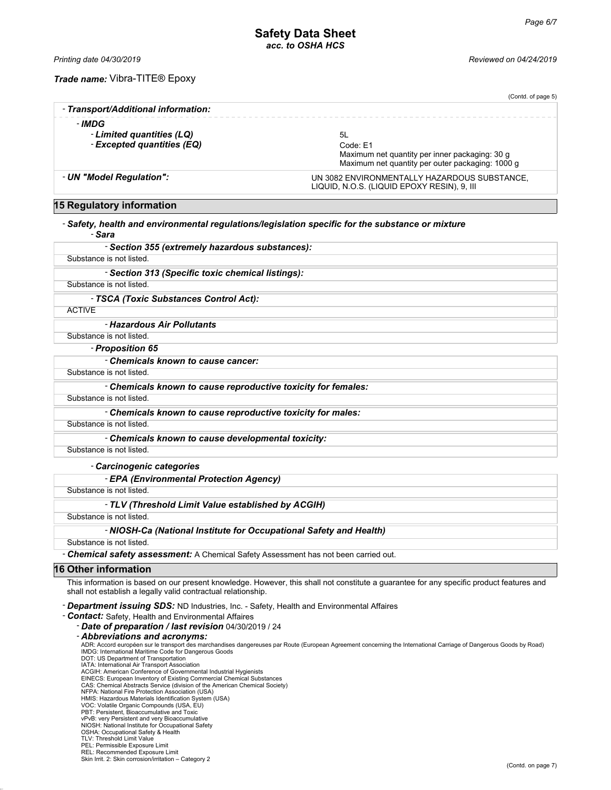*Printing date 04/30/2019 Reviewed on 04/24/2019*

- *IMDG*

*Trade name:* Vibra-TITE® Epoxy

(Contd. of page 5) - *Transport/Additional information:* - *Limited quantities (LQ)* 5L - **Excepted quantities (EQ)** Code: E1 Maximum net quantity per inner packaging: 30 g Maximum net quantity per outer packaging: 1000 g

LIQUID, N.O.S. (LIQUID EPOXY RESIN), 9, III

#### - *UN "Model Regulation":* UN 3082 ENVIRONMENTALLY HAZARDOUS SUBSTANCE,

## **15 Regulatory information**

### - *Safety, health and environmental regulations/legislation specific for the substance or mixture*

### - *Sara*

| - Section 355 (extremely hazardous substances):   |  |
|---------------------------------------------------|--|
| Substance is not listed                           |  |
| - Section 313 (Specific toxic chemical listings): |  |
| Substance is not listed.                          |  |
| - TSCA (Toxic Substances Control Act):            |  |
| <b>ACTIVE</b>                                     |  |
| - Hazardous Air Pollutants                        |  |
| Substance is not listed                           |  |

### - *Proposition 65*

- *Chemicals known to cause cancer:*

### Substance is not listed.

- *Chemicals known to cause reproductive toxicity for females:*

#### Substance is not listed.

- *Chemicals known to cause reproductive toxicity for males:*

Substance is not listed.

- *Chemicals known to cause developmental toxicity:*

Substance is not listed.

#### - *Carcinogenic categories*

- *EPA (Environmental Protection Agency)*

Substance is not listed.

- *TLV (Threshold Limit Value established by ACGIH)*

Substance is not listed.

#### - *NIOSH-Ca (National Institute for Occupational Safety and Health)*

Substance is not listed.

- *Chemical safety assessment:* A Chemical Safety Assessment has not been carried out.

### **16 Other information**

This information is based on our present knowledge. However, this shall not constitute a guarantee for any specific product features and shall not establish a legally valid contractual relationship.

- *Department issuing SDS:* ND Industries, Inc. - Safety, Health and Environmental Affaires

- *Contact:* Safety, Health and Environmental Affaires

- *Date of preparation / last revision* 04/30/2019 / 24

#### - *Abbreviations and acronyms:*

ADR: Accord européen sur le transport des marchandises dangereuses par Route (European Agreement concerning the International Carriage of Dangerous Goods by Road) IMDG: International Maritime Code for Dangerous Goods

DOT: US Department of Transportation

IATA: International Air Transport Association ACGIH: American Conference of Governmental Industrial Hygienists

EINECS: European Inventory of Existing Commercial Chemical Substances CAS: Chemical Abstracts Service (division of the American Chemical Society)

NFPA: National Fire Protection Association (USA) HMIS: Hazardous Materials Identification System (USA)

- VOC: Volatile Organic Compounds (USA, EU)
- PBT: Persistent, Bioaccumulative and Toxic

vPvB: very Persistent and very Bioaccumulative

NIOSH: National Institute for Occupational Safety

- OSHA: Occupational Safety & Health TLV: Threshold Limit Value
- PEL: Permissible Exposure Limit

REL: Recommended Exposure Limit Skin Irrit. 2: Skin corrosion/irritation – Category 2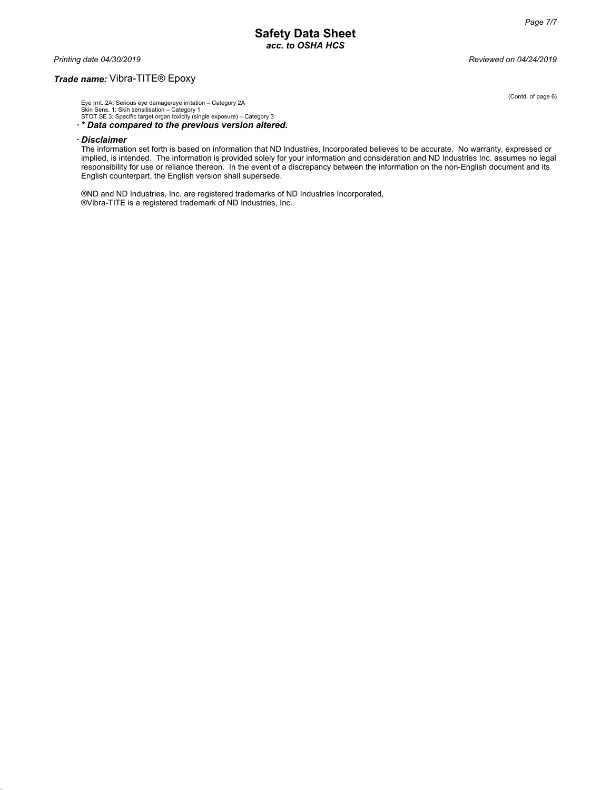*Printing date 04/30/2019 Reviewed on 04/24/2019*

### *Trade name:* Vibra-TITE® Epoxy

Eye Irrit. 2A: Serious eye damage/eye irritation – Category 2A Skin Sens. 1: Skin sensitisation – Category 1 STOT SE 3: Specific target organ toxicity (single exposure) – Category 3

- *\* Data compared to the previous version altered.*

#### - *Disclaimer*

The information set forth is based on information that ND Industries, Incorporated believes to be accurate. No warranty, expressed or implied, is intended. The information is provided solely for your information and consideration and ND Industries Inc. assumes no legal responsibility for use or reliance thereon. In the event of a discrepancy between the information on the non-English document and its English counterpart, the English version shall supersede.

®ND and ND Industries, Inc. are registered trademarks of ND Industries Incorporated, ®Vibra-TITE is a registered trademark of ND Industries, Inc.

(Contd. of page 6)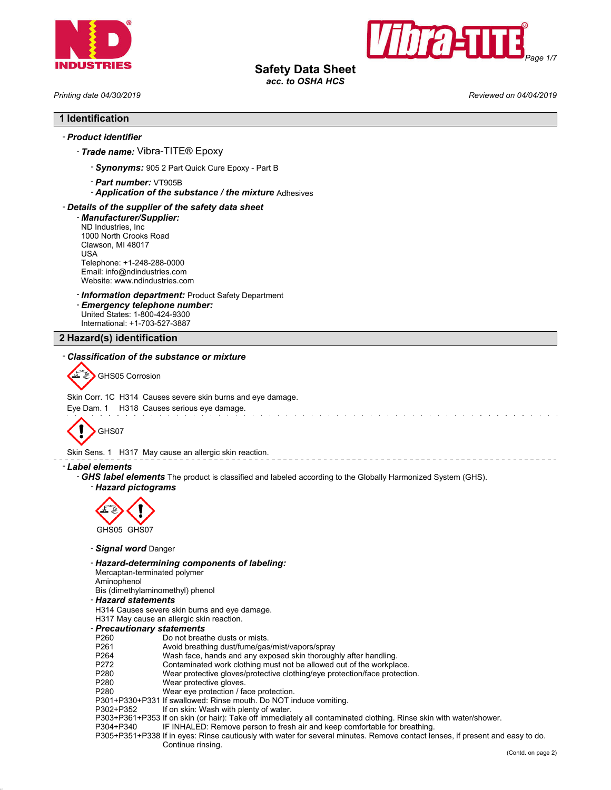



# **Safety Data Sheet**

*acc. to OSHA HCS*

|  |  | Printing date 04/30/2019 |
|--|--|--------------------------|
|--|--|--------------------------|

*Printing date 04/30/2019 Reviewed on 04/04/2019*

### **1 Identification**

### - *Product identifier*

### - *Trade name:* Vibra-TITE® Epoxy

- *Synonyms:* 905 2 Part Quick Cure Epoxy Part B
- *Part number:* VT905B
- *Application of the substance / the mixture* Adhesives

### - *Details of the supplier of the safety data sheet*

- *Manufacturer/Supplier:* ND Industries, Inc 1000 North Crooks Road Clawson, MI 48017 USA Telephone: +1-248-288-0000 Email: info@ndindustries.com Website: www.ndindustries.com

### - *Information department:* Product Safety Department

- *Emergency telephone number:* United States: 1-800-424-9300

International: +1-703-527-3887

## **2 Hazard(s) identification**

### - *Classification of the substance or mixture*

FX GHS05 Corrosion

#### Skin Corr. 1C H314 Causes severe skin burns and eye damage.

Eye Dam. 1 H318 Causes serious eye damage.



Skin Sens. 1 H317 May cause an allergic skin reaction.

#### - *Label elements*

- *GHS label elements* The product is classified and labeled according to the Globally Harmonized System (GHS).

- *Hazard pictograms*



- *Signal word* Danger
- *Hazard-determining components of labeling:*

Mercaptan-terminated polymer

Aminophenol

- Bis (dimethylaminomethyl) phenol
- *Hazard statements*
- H314 Causes severe skin burns and eye damage.
- H317 May cause an allergic skin reaction.
- *Precautionary statements*
- 
- P260 Do not breathe dusts or mists.<br>P261 Avoid breathing dust/fume/gas P261 Avoid breathing dust/fume/gas/mist/vapors/spray<br>P264 Wash face, hands and any exposed skin thorougl
- P264 Wash face, hands and any exposed skin thoroughly after handling.<br>P272 Contaminated work clothing must not be allowed out of the workpla
- 
- P272 Contaminated work clothing must not be allowed out of the workplace.<br>P280 Wear protective gloves/protective clothing/eye protection/face protectic P280 Wear protective gloves/protective clothing/eye protection/face protection.
- Wear protective gloves.
- P280 Wear eye protection / face protection.
- P301+P330+P331 If swallowed: Rinse mouth. Do NOT induce vomiting.<br>P302+P352 If on skin: Wash with plenty of water.
- If on skin: Wash with plenty of water.
- P303+P361+P353 If on skin (or hair): Take off immediately all contaminated clothing. Rinse skin with water/shower.
- P304+P340 IF INHALED: Remove person to fresh air and keep comfortable for breathing.
- P305+P351+P338 If in eyes: Rinse cautiously with water for several minutes. Remove contact lenses, if present and easy to do. Continue rinsing.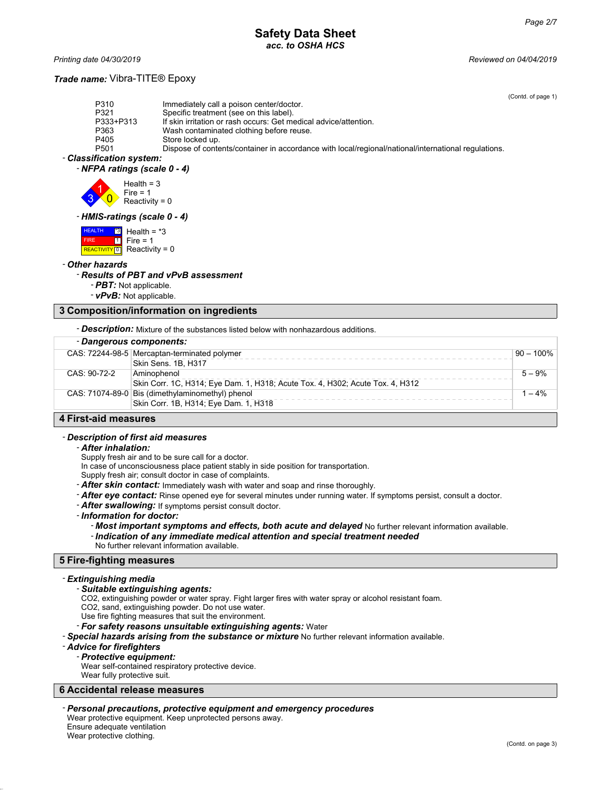*Printing date 04/30/2019 Reviewed on 04/04/2019*

### *Trade name:* Vibra-TITE® Epoxy

(Contd. of page 1)

| P310               | Immediately call a poison center/doctor.                                                            |
|--------------------|-----------------------------------------------------------------------------------------------------|
| P321               | Specific treatment (see on this label).                                                             |
| P333+P313          | If skin irritation or rash occurs: Get medical advice/attention.                                    |
| P363               | Wash contaminated clothing before reuse.                                                            |
| P405               | Store locked up.                                                                                    |
| P <sub>501</sub>   | Dispose of contents/container in accordance with local/regional/national/international regulations. |
| cification cuctom: |                                                                                                     |

### - *Classification system:*



 $\overline{0}$  $Fire = 1$ Reactivity =  $0$ 

#### - *HMIS-ratings (scale 0 - 4)*

| <b>HEALTH</b> | $\frac{13}{3}$ Health = $*3$           |
|---------------|----------------------------------------|
| <b>FIRE</b>   | $\boxed{1}$ Fire = 1                   |
|               | REACTIVITY <sup>O</sup> Reactivity = 0 |

#### - *Other hazards*

### - *Results of PBT and vPvB assessment*

- *PBT:* Not applicable.
- *vPvB:* Not applicable.

### **3 Composition/information on ingredients**

- *Description:* Mixture of the substances listed below with nonhazardous additions.

| - Dangerous components:    |                                                                               |              |
|----------------------------|-------------------------------------------------------------------------------|--------------|
|                            | CAS: 72244-98-5 Mercaptan-terminated polymer                                  | $90 - 100\%$ |
|                            | Skin Sens. 1B, H317                                                           |              |
| CAS: 90-72-2               | Aminophenol                                                                   | $5 - 9%$     |
|                            | Skin Corr. 1C, H314; Eye Dam. 1, H318; Acute Tox. 4, H302; Acute Tox. 4, H312 |              |
|                            | CAS: 71074-89-0 Bis (dimethylaminomethyl) phenol                              | 1 – 4%       |
|                            | Skin Corr. 1B, H314; Eye Dam. 1, H318                                         |              |
| A Flock of the contract of |                                                                               |              |

### **4 First-aid measures**

### - *Description of first aid measures*

#### - *After inhalation:*

Supply fresh air and to be sure call for a doctor.

In case of unconsciousness place patient stably in side position for transportation.

Supply fresh air; consult doctor in case of complaints.

- *After skin contact:* Immediately wash with water and soap and rinse thoroughly.
- *After eye contact:* Rinse opened eye for several minutes under running water. If symptoms persist, consult a doctor.
- *After swallowing:* If symptoms persist consult doctor.

- *Information for doctor:*

- *Most important symptoms and effects, both acute and delayed* No further relevant information available.
- *Indication of any immediate medical attention and special treatment needed*
- No further relevant information available.

# **5 Fire-fighting measures**

#### - *Extinguishing media*

#### - *Suitable extinguishing agents:*

CO2, extinguishing powder or water spray. Fight larger fires with water spray or alcohol resistant foam.

CO2, sand, extinguishing powder. Do not use water.

Use fire fighting measures that suit the environment.

### - *For safety reasons unsuitable extinguishing agents:* Water

- *Special hazards arising from the substance or mixture* No further relevant information available.

#### - *Advice for firefighters*

#### - *Protective equipment:*

Wear self-contained respiratory protective device.

Wear fully protective suit.

### **6 Accidental release measures**

### - *Personal precautions, protective equipment and emergency procedures*

Wear protective equipment. Keep unprotected persons away.

Ensure adequate ventilation Wear protective clothing.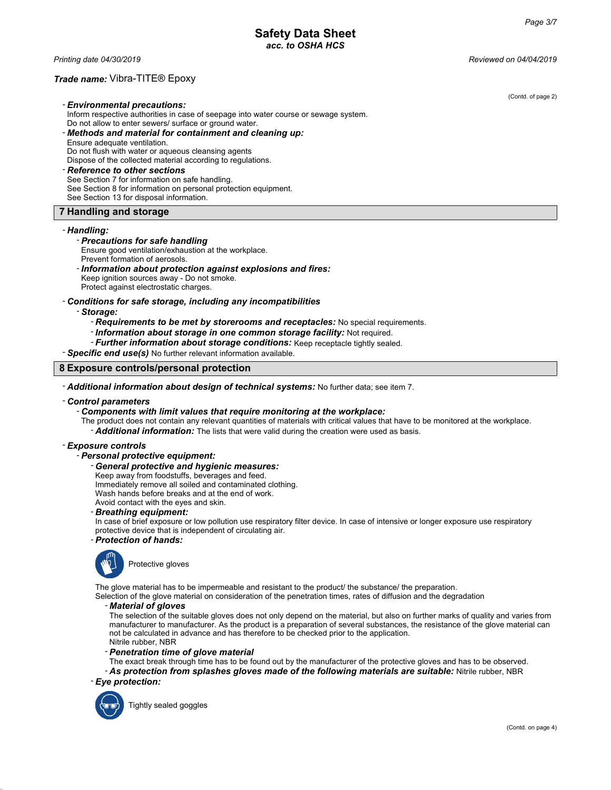*Printing date 04/30/2019 Reviewed on 04/04/2019*

### *Trade name:* Vibra-TITE® Epoxy

(Contd. of page 2) - *Environmental precautions:* Inform respective authorities in case of seepage into water course or sewage system. Do not allow to enter sewers/ surface or ground water. - *Methods and material for containment and cleaning up:* Ensure adequate ventilation. Do not flush with water or aqueous cleansing agents Dispose of the collected material according to regulations. - *Reference to other sections* See Section 7 for information on safe handling. See Section 8 for information on personal protection equipment. See Section 13 for disposal information. **7 Handling and storage**

### - *Handling:*

### - *Precautions for safe handling*

- Ensure good ventilation/exhaustion at the workplace. Prevent formation of aerosols.
- *Information about protection against explosions and fires:* Keep ignition sources away - Do not smoke. Protect against electrostatic charges.
- *Conditions for safe storage, including any incompatibilities*

#### - *Storage:*

- *Requirements to be met by storerooms and receptacles:* No special requirements.
- *Information about storage in one common storage facility:* Not required.
- *Further information about storage conditions:* Keep receptacle tightly sealed.

### - *Specific end use(s)* No further relevant information available.

#### **8 Exposure controls/personal protection**

- *Additional information about design of technical systems:* No further data; see item 7.

#### - *Control parameters*

### - *Components with limit values that require monitoring at the workplace:*

The product does not contain any relevant quantities of materials with critical values that have to be monitored at the workplace.

- *Additional information:* The lists that were valid during the creation were used as basis.

#### - *Exposure controls*

### - *Personal protective equipment:*

- *General protective and hygienic measures:*
- Keep away from foodstuffs, beverages and feed.
- Immediately remove all soiled and contaminated clothing.
- Wash hands before breaks and at the end of work.
- Avoid contact with the eyes and skin.
- *Breathing equipment:*
- In case of brief exposure or low pollution use respiratory filter device. In case of intensive or longer exposure use respiratory protective device that is independent of circulating air.

### - *Protection of hands:*



The glove material has to be impermeable and resistant to the product/ the substance/ the preparation.

Selection of the glove material on consideration of the penetration times, rates of diffusion and the degradation

#### - *Material of gloves*

The selection of the suitable gloves does not only depend on the material, but also on further marks of quality and varies from manufacturer to manufacturer. As the product is a preparation of several substances, the resistance of the glove material can not be calculated in advance and has therefore to be checked prior to the application. Nitrile rubber, NBR

- *Penetration time of glove material*

The exact break through time has to be found out by the manufacturer of the protective gloves and has to be observed.

- *As protection from splashes gloves made of the following materials are suitable:* Nitrile rubber, NBR - *Eye protection:*



Tightly sealed goggles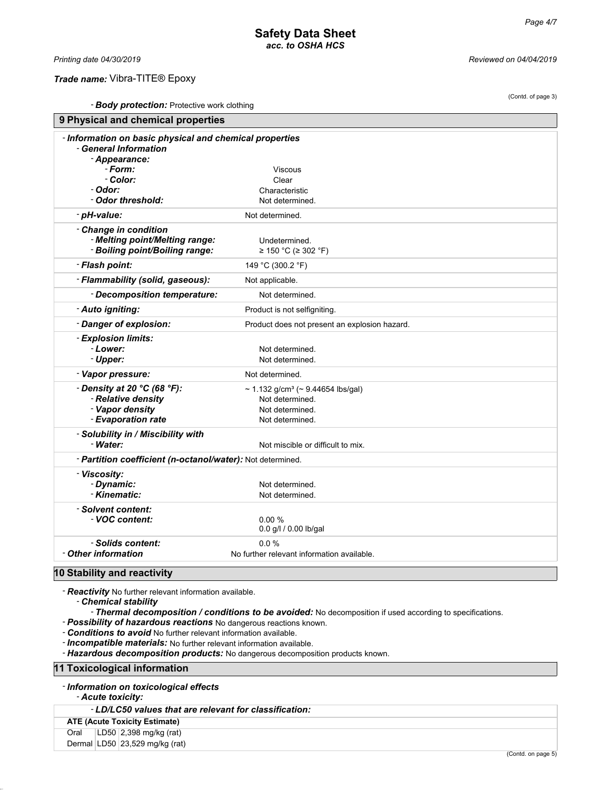(Contd. of page 3)

### *Trade name:* Vibra-TITE® Epoxy

*Printing date 04/30/2019 Reviewed on 04/04/2019*

- *Body protection:* Protective work clothing

| <b>Body protection.</b> Florecuve work clouding<br>9 Physical and chemical properties                              |                                                                                                        |  |
|--------------------------------------------------------------------------------------------------------------------|--------------------------------------------------------------------------------------------------------|--|
| - Information on basic physical and chemical properties<br>- General Information<br>- Appearance:                  |                                                                                                        |  |
| - Form:                                                                                                            | Viscous                                                                                                |  |
| - Color:                                                                                                           | Clear                                                                                                  |  |
| - Odor:                                                                                                            | Characteristic                                                                                         |  |
| - Odor threshold:                                                                                                  | Not determined.                                                                                        |  |
| - pH-value:                                                                                                        | Not determined.                                                                                        |  |
|                                                                                                                    |                                                                                                        |  |
| - Change in condition<br>- Melting point/Melting range:<br>- Boiling point/Boiling range:                          | Undetermined.<br>≥ 150 °C (≥ 302 °F)                                                                   |  |
| - Flash point:                                                                                                     | 149 °C (300.2 °F)                                                                                      |  |
| - Flammability (solid, gaseous):                                                                                   | Not applicable.                                                                                        |  |
| - Decomposition temperature:                                                                                       | Not determined.                                                                                        |  |
| - Auto igniting:                                                                                                   | Product is not selfigniting.                                                                           |  |
| - Danger of explosion:                                                                                             | Product does not present an explosion hazard.                                                          |  |
| - Explosion limits:<br>- Lower:<br>- Upper:                                                                        | Not determined.<br>Not determined.                                                                     |  |
| - Vapor pressure:                                                                                                  | Not determined.                                                                                        |  |
| $\cdot$ Density at 20 $\degree$ C (68 $\degree$ F):<br>- Relative density<br>- Vapor density<br>- Evaporation rate | ~ 1.132 g/cm <sup>3</sup> (~ 9.44654 lbs/gal)<br>Not determined.<br>Not determined.<br>Not determined. |  |
| - Solubility in / Miscibility with<br>- Water:                                                                     | Not miscible or difficult to mix.                                                                      |  |
| - Partition coefficient (n-octanol/water): Not determined.                                                         |                                                                                                        |  |
| - Viscosity:<br>- Dynamic:<br>- Kinematic:                                                                         | Not determined.<br>Not determined.                                                                     |  |
| - Solvent content:<br>- VOC content:                                                                               | 0.00%<br>0.0 g/l / 0.00 lb/gal                                                                         |  |
| - Solids content:                                                                                                  | 0.0%                                                                                                   |  |
| - Other information                                                                                                | No further relevant information available.                                                             |  |
| $\sim$ $\sim$ $\sim$ $\sim$ $\sim$                                                                                 |                                                                                                        |  |

### **10 Stability and reactivity**

- *Reactivity* No further relevant information available.

- *Chemical stability*

- *Thermal decomposition / conditions to be avoided:* No decomposition if used according to specifications.

- *Possibility of hazardous reactions* No dangerous reactions known.

- *Conditions to avoid* No further relevant information available.

- *Incompatible materials:* No further relevant information available.

- *Hazardous decomposition products:* No dangerous decomposition products known.

**11 Toxicological information**

- *Acute toxicity:*

- *LD/LC50 values that are relevant for classification:*

| <b>ATE (Acute Toxicity Estimate)</b> |  |                                |
|--------------------------------------|--|--------------------------------|
| Oral                                 |  | LD50 2,398 mg/kg (rat)         |
|                                      |  | Dermal LD50 23,529 mg/kg (rat) |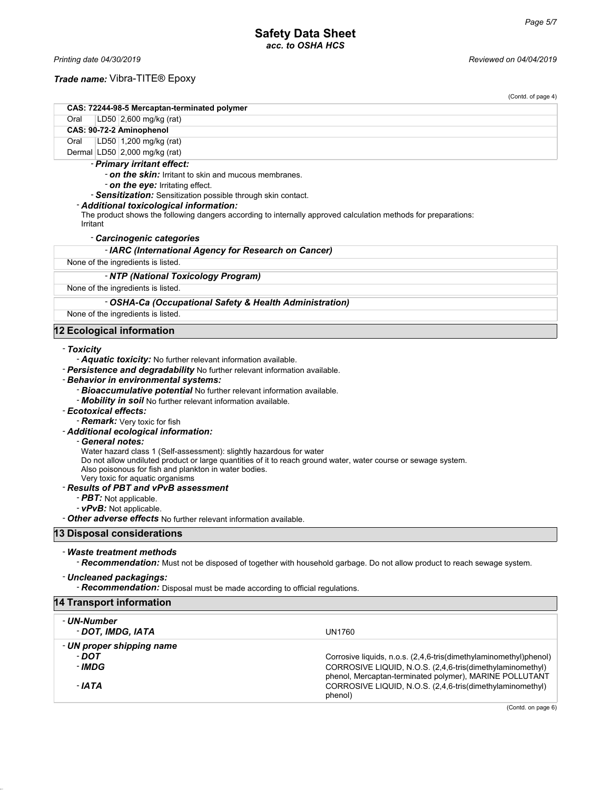### *Trade name:* Vibra-TITE® Epoxy

|                                                                                                                                                                                                                                                                                                                                                                                                                                                                                                                                                                                                                                                                                                                                                                                                                                                                | (Contd. of page 4) |
|----------------------------------------------------------------------------------------------------------------------------------------------------------------------------------------------------------------------------------------------------------------------------------------------------------------------------------------------------------------------------------------------------------------------------------------------------------------------------------------------------------------------------------------------------------------------------------------------------------------------------------------------------------------------------------------------------------------------------------------------------------------------------------------------------------------------------------------------------------------|--------------------|
| CAS: 72244-98-5 Mercaptan-terminated polymer                                                                                                                                                                                                                                                                                                                                                                                                                                                                                                                                                                                                                                                                                                                                                                                                                   |                    |
| LD50 2,600 mg/kg (rat)<br>Oral                                                                                                                                                                                                                                                                                                                                                                                                                                                                                                                                                                                                                                                                                                                                                                                                                                 |                    |
| CAS: 90-72-2 Aminophenol                                                                                                                                                                                                                                                                                                                                                                                                                                                                                                                                                                                                                                                                                                                                                                                                                                       |                    |
| Oral<br>LD50   1,200 mg/kg (rat)                                                                                                                                                                                                                                                                                                                                                                                                                                                                                                                                                                                                                                                                                                                                                                                                                               |                    |
| Dermal $ LD50 2,000$ mg/kg (rat)                                                                                                                                                                                                                                                                                                                                                                                                                                                                                                                                                                                                                                                                                                                                                                                                                               |                    |
| - Primary irritant effect:                                                                                                                                                                                                                                                                                                                                                                                                                                                                                                                                                                                                                                                                                                                                                                                                                                     |                    |
| - <b>on the skin:</b> Irritant to skin and mucous membranes.                                                                                                                                                                                                                                                                                                                                                                                                                                                                                                                                                                                                                                                                                                                                                                                                   |                    |
| - on the eye: Irritating effect.                                                                                                                                                                                                                                                                                                                                                                                                                                                                                                                                                                                                                                                                                                                                                                                                                               |                    |
| - Sensitization: Sensitization possible through skin contact.                                                                                                                                                                                                                                                                                                                                                                                                                                                                                                                                                                                                                                                                                                                                                                                                  |                    |
| - Additional toxicological information:                                                                                                                                                                                                                                                                                                                                                                                                                                                                                                                                                                                                                                                                                                                                                                                                                        |                    |
| The product shows the following dangers according to internally approved calculation methods for preparations:<br>Irritant                                                                                                                                                                                                                                                                                                                                                                                                                                                                                                                                                                                                                                                                                                                                     |                    |
| - Carcinogenic categories                                                                                                                                                                                                                                                                                                                                                                                                                                                                                                                                                                                                                                                                                                                                                                                                                                      |                    |
| - IARC (International Agency for Research on Cancer)                                                                                                                                                                                                                                                                                                                                                                                                                                                                                                                                                                                                                                                                                                                                                                                                           |                    |
| None of the ingredients is listed.                                                                                                                                                                                                                                                                                                                                                                                                                                                                                                                                                                                                                                                                                                                                                                                                                             |                    |
| - NTP (National Toxicology Program)                                                                                                                                                                                                                                                                                                                                                                                                                                                                                                                                                                                                                                                                                                                                                                                                                            |                    |
| None of the ingredients is listed.                                                                                                                                                                                                                                                                                                                                                                                                                                                                                                                                                                                                                                                                                                                                                                                                                             |                    |
| - OSHA-Ca (Occupational Safety & Health Administration)                                                                                                                                                                                                                                                                                                                                                                                                                                                                                                                                                                                                                                                                                                                                                                                                        |                    |
| None of the ingredients is listed.                                                                                                                                                                                                                                                                                                                                                                                                                                                                                                                                                                                                                                                                                                                                                                                                                             |                    |
| - Toxicity<br>- Aquatic toxicity: No further relevant information available.<br>- Persistence and degradability No further relevant information available.<br>- Behavior in environmental systems:<br>- Bioaccumulative potential No further relevant information available.<br>- <b>Mobility in soil</b> No further relevant information available.<br>- Ecotoxical effects:<br>- Remark: Very toxic for fish<br>- Additional ecological information:<br>- General notes:<br>Water hazard class 1 (Self-assessment): slightly hazardous for water<br>Do not allow undiluted product or large quantities of it to reach ground water, water course or sewage system.<br>Also poisonous for fish and plankton in water bodies.<br>Very toxic for aquatic organisms<br>- Results of PBT and vPvB assessment<br>- PBT: Not applicable.<br>- vPvB: Not applicable. |                    |
| - Other adverse effects No further relevant information available.                                                                                                                                                                                                                                                                                                                                                                                                                                                                                                                                                                                                                                                                                                                                                                                             |                    |
| 13 Disposal considerations                                                                                                                                                                                                                                                                                                                                                                                                                                                                                                                                                                                                                                                                                                                                                                                                                                     |                    |
| - Waste treatment methods<br>- Recommendation: Must not be disposed of together with household garbage. Do not allow product to reach sewage system.                                                                                                                                                                                                                                                                                                                                                                                                                                                                                                                                                                                                                                                                                                           |                    |

### - *Uncleaned packagings:*

- *Recommendation:* Disposal must be made according to official regulations.

# **14 Transport information** - *UN-Number* - *DOT, IMDG, IATA* UN1760

- *UN proper shipping name* - **DOT**<br>
Corrosive liquids, n.o.s. (2,4,6-tris(dimethylaminomethyl)phenol)<br>
CORROSIVE LIQUID, N.O.S. (2,4,6-tris(dimethylaminomethyl) CORROSIVE LIQUID, N.O.S. (2,4,6-tris(dimethylaminomethyl) phenol, Mercaptan-terminated polymer), MARINE POLLUTANT - *IATA* CORROSIVE LIQUID, N.O.S. (2,4,6-tris(dimethylaminomethyl) phenol)

(Contd. on page 6)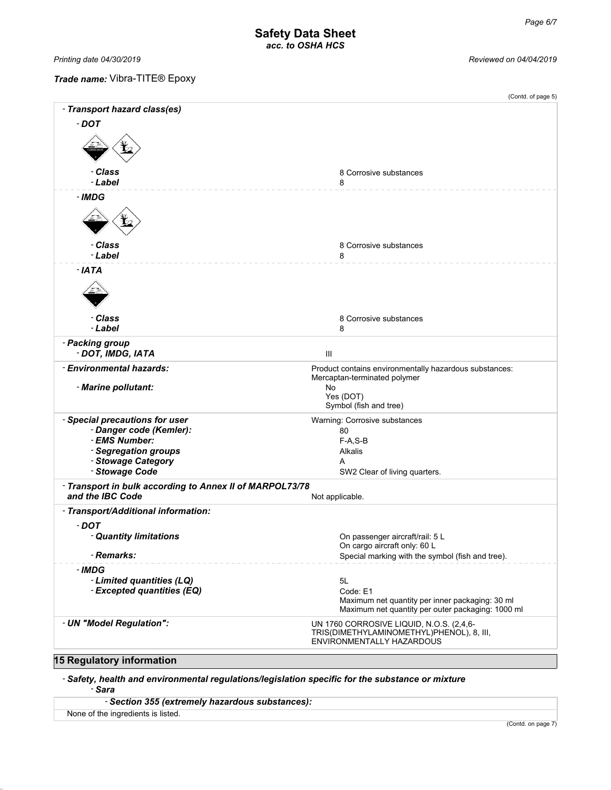*Printing date 04/30/2019 Reviewed on 04/04/2019*

### *Trade name:* Vibra-TITE® Epoxy

|                                                                              | (Contd. of page 5)                                                                                                 |
|------------------------------------------------------------------------------|--------------------------------------------------------------------------------------------------------------------|
| - Transport hazard class(es)                                                 |                                                                                                                    |
| $-$ DOT                                                                      |                                                                                                                    |
|                                                                              |                                                                                                                    |
| - Class                                                                      | 8 Corrosive substances                                                                                             |
| - Label                                                                      | 8                                                                                                                  |
| - IMDG                                                                       |                                                                                                                    |
| - Class                                                                      | 8 Corrosive substances                                                                                             |
| - Label                                                                      | 8                                                                                                                  |
| - IATA                                                                       |                                                                                                                    |
| - Class                                                                      | 8 Corrosive substances                                                                                             |
| - Label                                                                      | 8                                                                                                                  |
| - Packing group<br>- DOT, IMDG, IATA                                         | Ш                                                                                                                  |
| - Environmental hazards:                                                     | Product contains environmentally hazardous substances:                                                             |
| - Marine pollutant:                                                          | Mercaptan-terminated polymer<br>No                                                                                 |
|                                                                              | Yes (DOT)<br>Symbol (fish and tree)                                                                                |
| - Special precautions for user                                               | Warning: Corrosive substances                                                                                      |
| - Danger code (Kemler):                                                      | 80                                                                                                                 |
| - EMS Number:                                                                | $F-A, S-B$                                                                                                         |
| - Segregation groups                                                         | Alkalis                                                                                                            |
| - Stowage Category<br>- Stowage Code                                         | A                                                                                                                  |
|                                                                              | SW2 Clear of living quarters.                                                                                      |
| - Transport in bulk according to Annex II of MARPOL73/78<br>and the IBC Code | Not applicable.                                                                                                    |
| - Transport/Additional information:                                          |                                                                                                                    |
| $-$ DOT                                                                      |                                                                                                                    |
| - Quantity limitations                                                       | On passenger aircraft/rail: 5 L                                                                                    |
|                                                                              | On cargo aircraft only: 60 L                                                                                       |
| - Remarks:                                                                   | Special marking with the symbol (fish and tree).                                                                   |
| - IMDG                                                                       |                                                                                                                    |
| - Limited quantities (LQ)                                                    | 5L                                                                                                                 |
| - Excepted quantities (EQ)                                                   | Code: E1<br>Maximum net quantity per inner packaging: 30 ml                                                        |
|                                                                              | Maximum net quantity per outer packaging: 1000 ml                                                                  |
| - UN "Model Regulation":                                                     | UN 1760 CORROSIVE LIQUID, N.O.S. (2,4,6-<br>TRIS(DIMETHYLAMINOMETHYL)PHENOL), 8, III,<br>ENVIRONMENTALLY HAZARDOUS |
| 15 Requision information                                                     |                                                                                                                    |

### **15 Regulatory information**

- *Safety, health and environmental regulations/legislation specific for the substance or mixture* - *Sara*

| - Section 355 (extremely hazardous substances): |  |
|-------------------------------------------------|--|
|-------------------------------------------------|--|

None of the ingredients is listed.